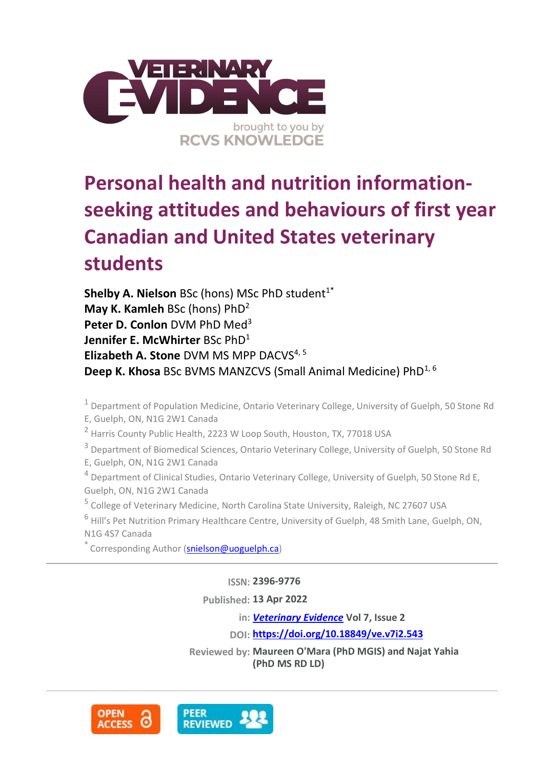

# **Personal health and nutrition informationseeking attitudes and behaviours of first year Canadian and United States veterinary students**

**Shelby A. Nielson** BSc (hons) MSc PhD student<sup>1\*</sup> **May K. Kamleh** BSc (hons) PhD<sup>2</sup> **Peter D. Conlon** DVM PhD Med 3 **Jennifer E. McWhirter** BSc PhD<sup>1</sup> **Elizabeth A. Stone** DVM MS MPP DACVS4, 5 **Deep K. Khosa** BSc BVMS MANZCVS (Small Animal Medicine) PhD<sup>1, 6</sup>

<sup>1</sup> Department of Population Medicine, Ontario Veterinary College, University of Guelph, 50 Stone Rd E, Guelph, ON, N1G 2W1 Canada

<sup>2</sup> Harris County Public Health, 2223 W Loop South, Houston, TX, 77018 USA

<sup>3</sup> Department of Biomedical Sciences, Ontario Veterinary College, University of Guelph, 50 Stone Rd E, Guelph, ON, N1G 2W1 Canada

<sup>4</sup> Department of Clinical Studies, Ontario Veterinary College, University of Guelph, 50 Stone Rd E, Guelph, ON, N1G 2W1 Canada

<sup>5</sup> College of Veterinary Medicine, North Carolina State University, Raleigh, NC 27607 USA

<sup>6</sup> Hill's Pet Nutrition Primary Healthcare Centre, University of Guelph, 48 Smith Lane, Guelph, ON, N1G 4S7 Canada

\* Corresponding Author [\(snielson@uoguelph.ca\)](snielson@uoguelph.ca)

**ISSN: 2396-9776**

**Published: 13 Apr 2022**

**in:** *[Veterinary Evidence](https://veterinaryevidence.org/index.php/ve)* **Vol 7, Issue 2**

**DOI: <https://doi.org/10.18849/ve.v7i2.543>**

**Reviewed by: Maureen O'Mara (PhD MGIS) and Najat Yahia (PhD MS RD LD)**

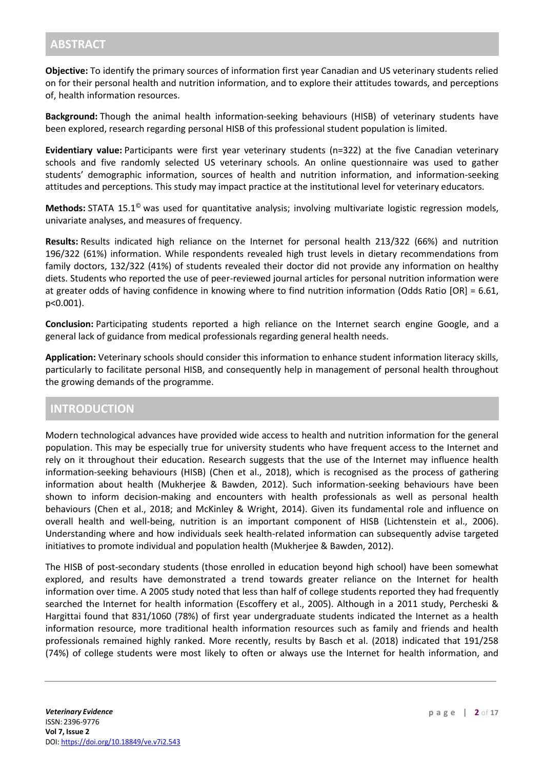**Objective:** To identify the primary sources of information first year Canadian and US veterinary students relied on for their personal health and nutrition information, and to explore their attitudes towards, and perceptions of, health information resources.

**Background:** Though the animal health information-seeking behaviours (HISB) of veterinary students have been explored, research regarding personal HISB of this professional student population is limited.

**Evidentiary value:** Participants were first year veterinary students (n=322) at the five Canadian veterinary schools and five randomly selected US veterinary schools. An online questionnaire was used to gather students' demographic information, sources of health and nutrition information, and information-seeking attitudes and perceptions. This study may impact practice at the institutional level for veterinary educators.

**Methods:** STATA 15.1© was used for quantitative analysis; involving multivariate logistic regression models, univariate analyses, and measures of frequency.

**Results:** Results indicated high reliance on the Internet for personal health 213/322 (66%) and nutrition 196/322 (61%) information. While respondents revealed high trust levels in dietary recommendations from family doctors, 132/322 (41%) of students revealed their doctor did not provide any information on healthy diets. Students who reported the use of peer-reviewed journal articles for personal nutrition information were at greater odds of having confidence in knowing where to find nutrition information (Odds Ratio [OR] = 6.61, p<0.001).

**Conclusion:** Participating students reported a high reliance on the Internet search engine Google, and a general lack of guidance from medical professionals regarding general health needs.

**Application:** Veterinary schools should consider this information to enhance student information literacy skills, particularly to facilitate personal HISB, and consequently help in management of personal health throughout the growing demands of the programme.

## **INTRODUCTION**

Modern technological advances have provided wide access to health and nutrition information for the general population. This may be especially true for university students who have frequent access to the Internet and rely on it throughout their education. Research suggests that the use of the Internet may influence health information-seeking behaviours (HISB) (Chen et al., 2018), which is recognised as the process of gathering information about health (Mukherjee & Bawden, 2012). Such information-seeking behaviours have been shown to inform decision-making and encounters with health professionals as well as personal health behaviours (Chen et al., 2018; and McKinley & Wright, 2014). Given its fundamental role and influence on overall health and well-being, nutrition is an important component of HISB (Lichtenstein et al., 2006). Understanding where and how individuals seek health-related information can subsequently advise targeted initiatives to promote individual and population health (Mukherjee & Bawden, 2012).

The HISB of post-secondary students (those enrolled in education beyond high school) have been somewhat explored, and results have demonstrated a trend towards greater reliance on the Internet for health information over time. A 2005 study noted that less than half of college students reported they had frequently searched the Internet for health information (Escoffery et al., 2005). Although in a 2011 study, Percheski & Hargittai found that 831/1060 (78%) of first year undergraduate students indicated the Internet as a health information resource, more traditional health information resources such as family and friends and health professionals remained highly ranked. More recently, results by Basch et al. (2018) indicated that 191/258 (74%) of college students were most likely to often or always use the Internet for health information, and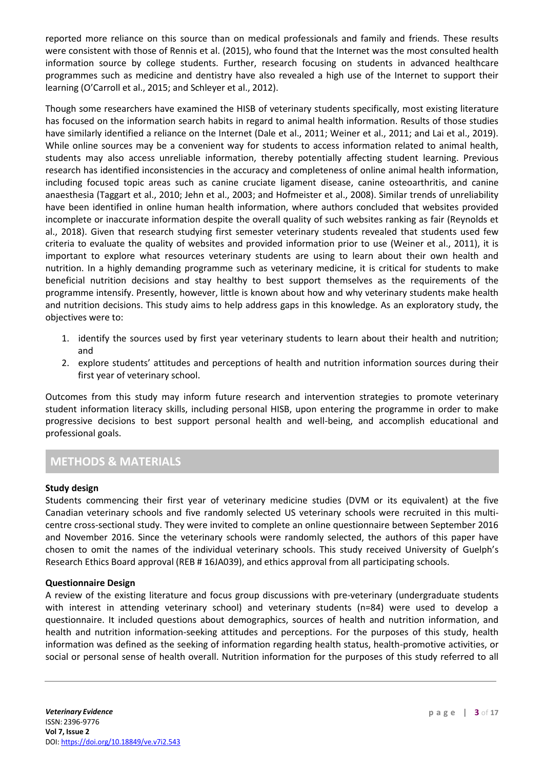reported more reliance on this source than on medical professionals and family and friends. These results were consistent with those of Rennis et al. (2015), who found that the Internet was the most consulted health information source by college students. Further, research focusing on students in advanced healthcare programmes such as medicine and dentistry have also revealed a high use of the Internet to support their learning (O'Carroll et al., 2015; and Schleyer et al., 2012).

Though some researchers have examined the HISB of veterinary students specifically, most existing literature has focused on the information search habits in regard to animal health information. Results of those studies have similarly identified a reliance on the Internet (Dale et al., 2011; Weiner et al., 2011; and Lai et al., 2019). While online sources may be a convenient way for students to access information related to animal health, students may also access unreliable information, thereby potentially affecting student learning. Previous research has identified inconsistencies in the accuracy and completeness of online animal health information, including focused topic areas such as canine cruciate ligament disease, canine osteoarthritis, and canine anaesthesia (Taggart et al., 2010; Jehn et al., 2003; and Hofmeister et al., 2008). Similar trends of unreliability have been identified in online human health information, where authors concluded that websites provided incomplete or inaccurate information despite the overall quality of such websites ranking as fair (Reynolds et al., 2018). Given that research studying first semester veterinary students revealed that students used few criteria to evaluate the quality of websites and provided information prior to use (Weiner et al., 2011), it is important to explore what resources veterinary students are using to learn about their own health and nutrition. In a highly demanding programme such as veterinary medicine, it is critical for students to make beneficial nutrition decisions and stay healthy to best support themselves as the requirements of the programme intensify. Presently, however, little is known about how and why veterinary students make health and nutrition decisions. This study aims to help address gaps in this knowledge. As an exploratory study, the objectives were to:

- 1. identify the sources used by first year veterinary students to learn about their health and nutrition; and
- 2. explore students' attitudes and perceptions of health and nutrition information sources during their first year of veterinary school.

Outcomes from this study may inform future research and intervention strategies to promote veterinary student information literacy skills, including personal HISB, upon entering the programme in order to make progressive decisions to best support personal health and well-being, and accomplish educational and professional goals.

# **METHODS & MATERIALS**

#### **Study design**

Students commencing their first year of veterinary medicine studies (DVM or its equivalent) at the five Canadian veterinary schools and five randomly selected US veterinary schools were recruited in this multicentre cross-sectional study. They were invited to complete an online questionnaire between September 2016 and November 2016. Since the veterinary schools were randomly selected, the authors of this paper have chosen to omit the names of the individual veterinary schools. This study received University of Guelph's Research Ethics Board approval (REB # 16JA039), and ethics approval from all participating schools.

#### **Questionnaire Design**

A review of the existing literature and focus group discussions with pre-veterinary (undergraduate students with interest in attending veterinary school) and veterinary students (n=84) were used to develop a questionnaire. It included questions about demographics, sources of health and nutrition information, and health and nutrition information-seeking attitudes and perceptions. For the purposes of this study, health information was defined as the seeking of information regarding health status, health-promotive activities, or social or personal sense of health overall. Nutrition information for the purposes of this study referred to all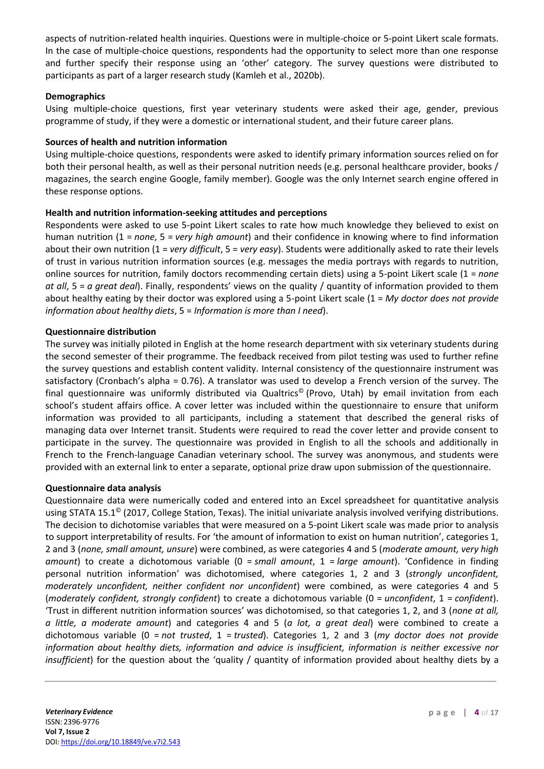aspects of nutrition-related health inquiries. Questions were in multiple-choice or 5-point Likert scale formats. In the case of multiple-choice questions, respondents had the opportunity to select more than one response and further specify their response using an 'other' category. The survey questions were distributed to participants as part of a larger research study (Kamleh et al., 2020b).

#### **Demographics**

Using multiple-choice questions, first year veterinary students were asked their age, gender, previous programme of study, if they were a domestic or international student, and their future career plans.

#### **Sources of health and nutrition information**

Using multiple-choice questions, respondents were asked to identify primary information sources relied on for both their personal health, as well as their personal nutrition needs (e.g. personal healthcare provider, books / magazines, the search engine Google, family member). Google was the only Internet search engine offered in these response options.

#### **Health and nutrition information-seeking attitudes and perceptions**

Respondents were asked to use 5-point Likert scales to rate how much knowledge they believed to exist on human nutrition (1 = *none*, 5 = *very high amount*) and their confidence in knowing where to find information about their own nutrition (1 = *very difficult*, 5 = *very easy*). Students were additionally asked to rate their levels of trust in various nutrition information sources (e.g. messages the media portrays with regards to nutrition, online sources for nutrition, family doctors recommending certain diets) using a 5-point Likert scale (1 = *none at all*, 5 = *a great deal*). Finally, respondents' views on the quality / quantity of information provided to them about healthy eating by their doctor was explored using a 5-point Likert scale (1 = *My doctor does not provide information about healthy diets*, 5 = *Information is more than I need*).

#### **Questionnaire distribution**

The survey was initially piloted in English at the home research department with six veterinary students during the second semester of their programme. The feedback received from pilot testing was used to further refine the survey questions and establish content validity. Internal consistency of the questionnaire instrument was satisfactory (Cronbach's alpha = 0.76). A translator was used to develop a French version of the survey. The final questionnaire was uniformly distributed via Qualtrics<sup>®</sup> (Provo, Utah) by email invitation from each school's student affairs office. A cover letter was included within the questionnaire to ensure that uniform information was provided to all participants, including a statement that described the general risks of managing data over Internet transit. Students were required to read the cover letter and provide consent to participate in the survey. The questionnaire was provided in English to all the schools and additionally in French to the French-language Canadian veterinary school. The survey was anonymous, and students were provided with an external link to enter a separate, optional prize draw upon submission of the questionnaire.

#### **Questionnaire data analysis**

Questionnaire data were numerically coded and entered into an Excel spreadsheet for quantitative analysis using STATA 15.1<sup>©</sup> (2017, College Station, Texas). The initial univariate analysis involved verifying distributions. The decision to dichotomise variables that were measured on a 5-point Likert scale was made prior to analysis to support interpretability of results. For 'the amount of information to exist on human nutrition', categories 1, 2 and 3 (*none, small amount, unsure*) were combined, as were categories 4 and 5 (*moderate amount, very high amount*) to create a dichotomous variable (0 = *small amount*, 1 = *large amount*). 'Confidence in finding personal nutrition information' was dichotomised, where categories 1, 2 and 3 (*strongly unconfident, moderately unconfident, neither confident nor unconfident*) were combined, as were categories 4 and 5 (*moderately confident, strongly confident*) to create a dichotomous variable (0 = *unconfident*, 1 = *confident*). 'Trust in different nutrition information sources' was dichotomised, so that categories 1, 2, and 3 (*none at all, a little, a moderate amount*) and categories 4 and 5 (*a lot, a great deal*) were combined to create a dichotomous variable (0 = *not trusted*, 1 = *trusted*). Categories 1, 2 and 3 (*my doctor does not provide information about healthy diets, information and advice is insufficient, information is neither excessive nor insufficient*) for the question about the 'quality / quantity of information provided about healthy diets by a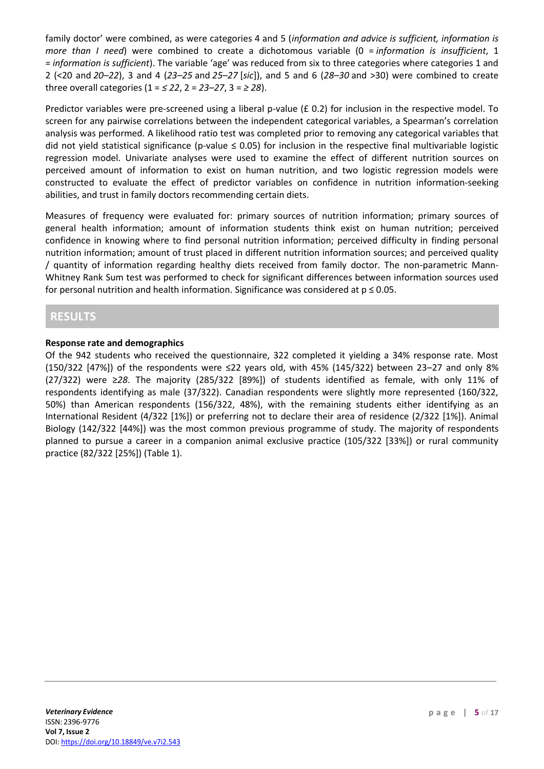family doctor' were combined, as were categories 4 and 5 (*information and advice is sufficient, information is more than I need*) were combined to create a dichotomous variable (0 = *information is insufficient*, 1 = *information is sufficient*). The variable 'age' was reduced from six to three categories where categories 1 and 2 (<20 and *20–22*), 3 and 4 (*23–25* and *25–27* [*sic*]), and 5 and 6 (*28–30* and >30) were combined to create three overall categories (1 = *≤ 22*, 2 = *23–27*, 3 = *≥ 28*).

Predictor variables were pre-screened using a liberal p-value ( $\pounds$  0.2) for inclusion in the respective model. To screen for any pairwise correlations between the independent categorical variables, a Spearman's correlation analysis was performed. A likelihood ratio test was completed prior to removing any categorical variables that did not yield statistical significance (p-value  $\leq$  0.05) for inclusion in the respective final multivariable logistic regression model. Univariate analyses were used to examine the effect of different nutrition sources on perceived amount of information to exist on human nutrition, and two logistic regression models were constructed to evaluate the effect of predictor variables on confidence in nutrition information-seeking abilities, and trust in family doctors recommending certain diets.

Measures of frequency were evaluated for: primary sources of nutrition information; primary sources of general health information; amount of information students think exist on human nutrition; perceived confidence in knowing where to find personal nutrition information; perceived difficulty in finding personal nutrition information; amount of trust placed in different nutrition information sources; and perceived quality / quantity of information regarding healthy diets received from family doctor. The non-parametric Mann-Whitney Rank Sum test was performed to check for significant differences between information sources used for personal nutrition and health information. Significance was considered at  $p \le 0.05$ .

### **RESULTS**

#### **Response rate and demographics**

Of the 942 students who received the questionnaire, 322 completed it yielding a 34% response rate. Most (150/322 [47%]) of the respondents were ≤22 years old, with 45% (145/322) between 23–27 and only 8% (27/322) were ≥*28*. The majority (285/322 [89%]) of students identified as female, with only 11% of respondents identifying as male (37/322). Canadian respondents were slightly more represented (160/322, 50%) than American respondents (156/322, 48%), with the remaining students either identifying as an International Resident (4/322 [1%]) or preferring not to declare their area of residence (2/322 [1%]). Animal Biology (142/322 [44%]) was the most common previous programme of study. The majority of respondents planned to pursue a career in a companion animal exclusive practice (105/322 [33%]) or rural community practice (82/322 [25%]) (Table 1).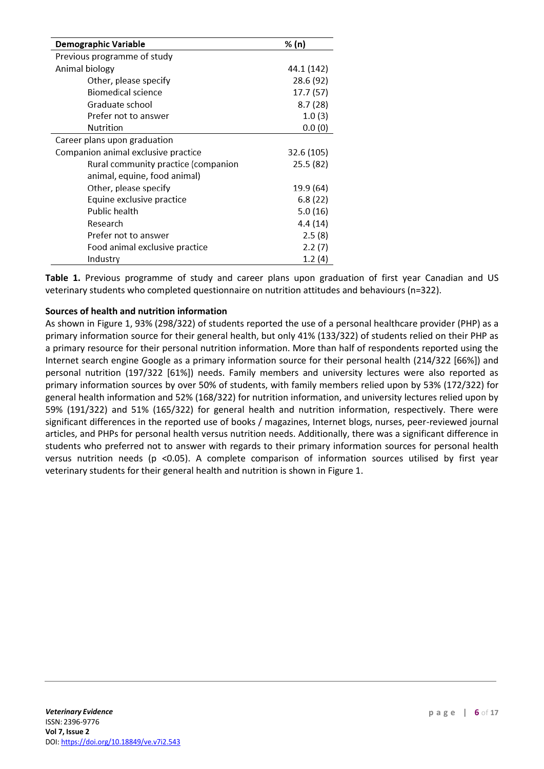| Demographic Variable                | % (n)      |
|-------------------------------------|------------|
| Previous programme of study         |            |
| Animal biology                      | 44.1 (142) |
| Other, please specify               | 28.6 (92)  |
| Biomedical science                  | 17.7 (57)  |
| Graduate school                     | 8.7(28)    |
| Prefer not to answer                | 1.0(3)     |
| Nutrition                           | 0.0(0)     |
| Career plans upon graduation        |            |
| Companion animal exclusive practice | 32.6 (105) |
| Rural community practice (companion | 25.5 (82)  |
| animal, equine, food animal)        |            |
| Other, please specify               | 19.9 (64)  |
| Equine exclusive practice           | 6.8(22)    |
| Public health                       | 5.0(16)    |
| Research                            | 4.4 (14)   |
| Prefer not to answer                | 2.5(8)     |
| Food animal exclusive practice      | 2.2(7)     |
| Industry                            | 1.2(4)     |

**Table 1.** Previous programme of study and career plans upon graduation of first year Canadian and US veterinary students who completed questionnaire on nutrition attitudes and behaviours (n=322).

#### **Sources of health and nutrition information**

As shown in Figure 1, 93% (298/322) of students reported the use of a personal healthcare provider (PHP) as a primary information source for their general health, but only 41% (133/322) of students relied on their PHP as a primary resource for their personal nutrition information. More than half of respondents reported using the Internet search engine Google as a primary information source for their personal health (214/322 [66%]) and personal nutrition (197/322 [61%]) needs. Family members and university lectures were also reported as primary information sources by over 50% of students, with family members relied upon by 53% (172/322) for general health information and 52% (168/322) for nutrition information, and university lectures relied upon by 59% (191/322) and 51% (165/322) for general health and nutrition information, respectively. There were significant differences in the reported use of books / magazines, Internet blogs, nurses, peer-reviewed journal articles, and PHPs for personal health versus nutrition needs. Additionally, there was a significant difference in students who preferred not to answer with regards to their primary information sources for personal health versus nutrition needs (p <0.05). A complete comparison of information sources utilised by first year veterinary students for their general health and nutrition is shown in Figure 1.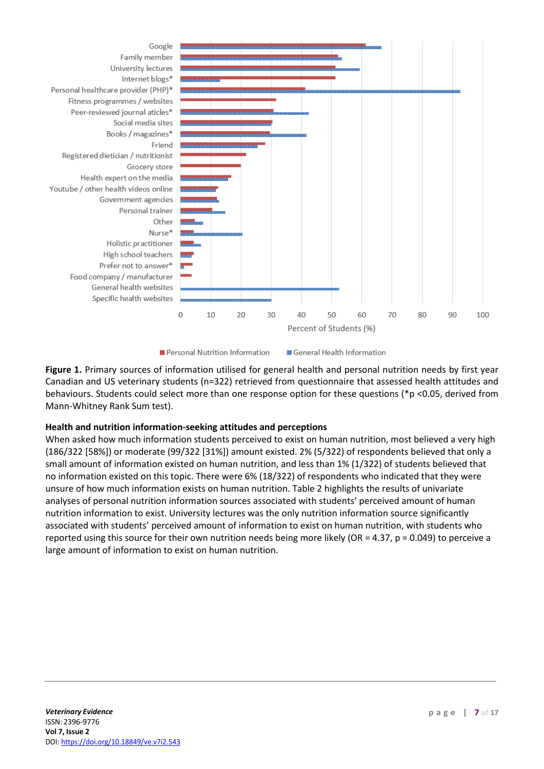

Personal Nutrition Information

**BI** General Health Information

**Figure 1.** Primary sources of information utilised for general health and personal nutrition needs by first year Canadian and US veterinary students (n=322) retrieved from questionnaire that assessed health attitudes and behaviours. Students could select more than one response option for these questions (\*p <0.05, derived from Mann-Whitney Rank Sum test).

#### **Health and nutrition information-seeking attitudes and perceptions**

When asked how much information students perceived to exist on human nutrition, most believed a very high (186/322 [58%]) or moderate (99/322 [31%]) amount existed. 2% (5/322) of respondents believed that only a small amount of information existed on human nutrition, and less than 1% (1/322) of students believed that no information existed on this topic. There were 6% (18/322) of respondents who indicated that they were unsure of how much information exists on human nutrition. Table 2 highlights the results of univariate analyses of personal nutrition information sources associated with students' perceived amount of human nutrition information to exist. University lectures was the only nutrition information source significantly associated with students' perceived amount of information to exist on human nutrition, with students who reported using this source for their own nutrition needs being more likely (OR = 4.37, p = 0.049) to perceive a large amount of information to exist on human nutrition.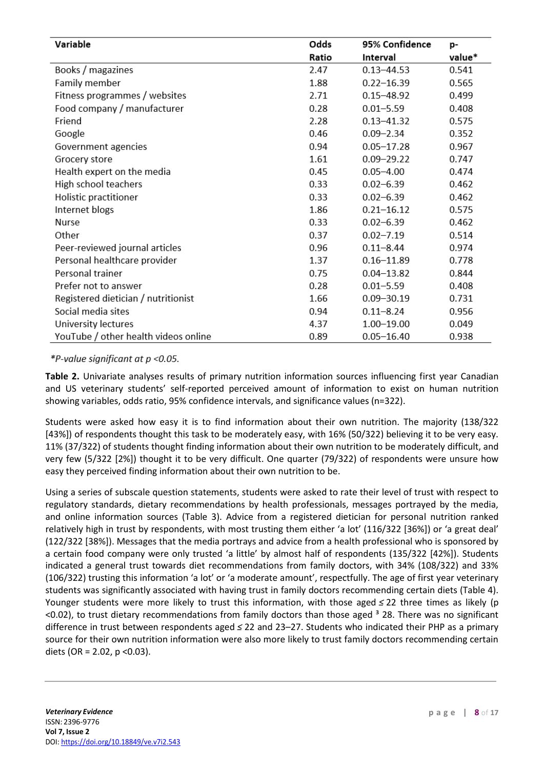| Variable                             | Odds  | 95% Confidence | p-     |
|--------------------------------------|-------|----------------|--------|
|                                      | Ratio | Interval       | value* |
| Books / magazines                    | 2.47  | $0.13 - 44.53$ | 0.541  |
| Family member                        | 1.88  | $0.22 - 16.39$ | 0.565  |
| Fitness programmes / websites        | 2.71  | $0.15 - 48.92$ | 0.499  |
| Food company / manufacturer          | 0.28  | $0.01 - 5.59$  | 0.408  |
| Friend                               | 2.28  | $0.13 - 41.32$ | 0.575  |
| Google                               | 0.46  | $0.09 - 2.34$  | 0.352  |
| Government agencies                  | 0.94  | $0.05 - 17.28$ | 0.967  |
| Grocery store                        | 1.61  | $0.09 - 29.22$ | 0.747  |
| Health expert on the media           | 0.45  | $0.05 - 4.00$  | 0.474  |
| High school teachers                 | 0.33  | $0.02 - 6.39$  | 0.462  |
| Holistic practitioner                | 0.33  | $0.02 - 6.39$  | 0.462  |
| Internet blogs                       | 1.86  | $0.21 - 16.12$ | 0.575  |
| Nurse                                | 0.33  | $0.02 - 6.39$  | 0.462  |
| Other                                | 0.37  | $0.02 - 7.19$  | 0.514  |
| Peer-reviewed journal articles       | 0.96  | $0.11 - 8.44$  | 0.974  |
| Personal healthcare provider         | 1.37  | $0.16 - 11.89$ | 0.778  |
| Personal trainer                     | 0.75  | $0.04 - 13.82$ | 0.844  |
| Prefer not to answer                 | 0.28  | $0.01 - 5.59$  | 0.408  |
| Registered dietician / nutritionist  | 1.66  | $0.09 - 30.19$ | 0.731  |
| Social media sites                   | 0.94  | $0.11 - 8.24$  | 0.956  |
| University lectures                  | 4.37  | 1.00-19.00     | 0.049  |
| YouTube / other health videos online | 0.89  | $0.05 - 16.40$ | 0.938  |

#### \*P-value significant at  $p < 0.05$ .

**Table 2.** Univariate analyses results of primary nutrition information sources influencing first year Canadian and US veterinary students' self-reported perceived amount of information to exist on human nutrition showing variables, odds ratio, 95% confidence intervals, and significance values (n=322).

Students were asked how easy it is to find information about their own nutrition. The majority (138/322 [43%]) of respondents thought this task to be moderately easy, with 16% (50/322) believing it to be very easy. 11% (37/322) of students thought finding information about their own nutrition to be moderately difficult, and very few (5/322 [2%]) thought it to be very difficult. One quarter (79/322) of respondents were unsure how easy they perceived finding information about their own nutrition to be.

Using a series of subscale question statements, students were asked to rate their level of trust with respect to regulatory standards, dietary recommendations by health professionals, messages portrayed by the media, and online information sources (Table 3). Advice from a registered dietician for personal nutrition ranked relatively high in trust by respondents, with most trusting them either 'a lot' (116/322 [36%]) or 'a great deal' (122/322 [38%]). Messages that the media portrays and advice from a health professional who is sponsored by a certain food company were only trusted 'a little' by almost half of respondents (135/322 [42%]). Students indicated a general trust towards diet recommendations from family doctors, with 34% (108/322) and 33% (106/322) trusting this information 'a lot' or 'a moderate amount', respectfully. The age of first year veterinary students was significantly associated with having trust in family doctors recommending certain diets (Table 4). Younger students were more likely to trust this information, with those aged *≤* 22 three times as likely (p  $\leq$ 0.02), to trust dietary recommendations from family doctors than those aged  $3$  28. There was no significant difference in trust between respondents aged *≤* 22 and 23–27. Students who indicated their PHP as a primary source for their own nutrition information were also more likely to trust family doctors recommending certain diets (OR = 2.02,  $p$  < 0.03).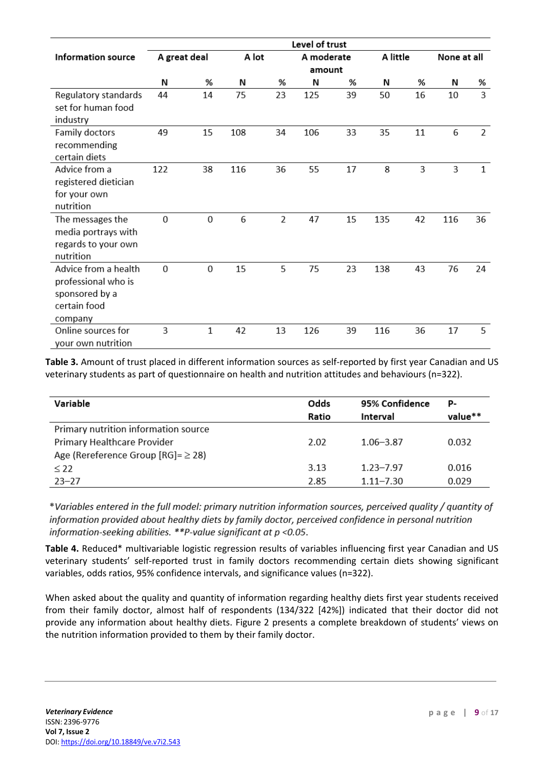|                                                                                          | Level of trust |    |       |                |            |    |          |    |             |    |
|------------------------------------------------------------------------------------------|----------------|----|-------|----------------|------------|----|----------|----|-------------|----|
| <b>Information source</b>                                                                | A great deal   |    | A lot |                | A moderate |    | A little |    | None at all |    |
|                                                                                          |                |    |       |                | amount     |    |          |    |             |    |
|                                                                                          | N              | %  | N     | %              | Ν          | %  | Ν        | %  | Ν           | %  |
| Regulatory standards<br>set for human food<br>industry                                   | 44             | 14 | 75    | 23             | 125        | 39 | 50       | 16 | 10          | 3  |
| Family doctors<br>recommending<br>certain diets                                          | 49             | 15 | 108   | 34             | 106        | 33 | 35       | 11 | 6           | 2  |
| Advice from a<br>registered dietician<br>for your own<br>nutrition                       | 122            | 38 | 116   | 36             | 55         | 17 | 8        | 3  | 3           | 1  |
| The messages the<br>media portrays with<br>regards to your own<br>nutrition              | 0              | 0  | 6     | $\overline{2}$ | 47         | 15 | 135      | 42 | 116         | 36 |
| Advice from a health<br>professional who is<br>sponsored by a<br>certain food<br>company | $\mathbf 0$    | 0  | 15    | 5              | 75         | 23 | 138      | 43 | 76          | 24 |
| Online sources for<br>your own nutrition                                                 | 3              | 1  | 42    | 13             | 126        | 39 | 116      | 36 | 17          | 5  |

**Table 3.** Amount of trust placed in different information sources as self-reported by first year Canadian and US veterinary students as part of questionnaire on health and nutrition attitudes and behaviours (n=322).

| Variable                                  | Odds  | 95% Confidence | P-      |
|-------------------------------------------|-------|----------------|---------|
|                                           | Ratio | Interval       | value** |
| Primary nutrition information source      |       |                |         |
| Primary Healthcare Provider               | 2.02  | $1.06 - 3.87$  | 0.032   |
| Age (Rereference Group $[RG] = \geq 28$ ) |       |                |         |
| $\leq$ 22                                 | 3.13  | $1.23 - 7.97$  | 0.016   |
| $23 - 27$                                 | 2.85  | $1.11 - 7.30$  | 0.029   |

\*Variables entered in the full model: primary nutrition information sources, perceived quality / quantity of information provided about healthy diets by family doctor, perceived confidence in personal nutrition information-seeking abilities.  $**P$ -value significant at  $p < 0.05$ .

**Table 4.** Reduced\* multivariable logistic regression results of variables influencing first year Canadian and US veterinary students' self-reported trust in family doctors recommending certain diets showing significant variables, odds ratios, 95% confidence intervals, and significance values (n=322).

When asked about the quality and quantity of information regarding healthy diets first year students received from their family doctor, almost half of respondents (134/322 [42%]) indicated that their doctor did not provide any information about healthy diets. Figure 2 presents a complete breakdown of students' views on the nutrition information provided to them by their family doctor.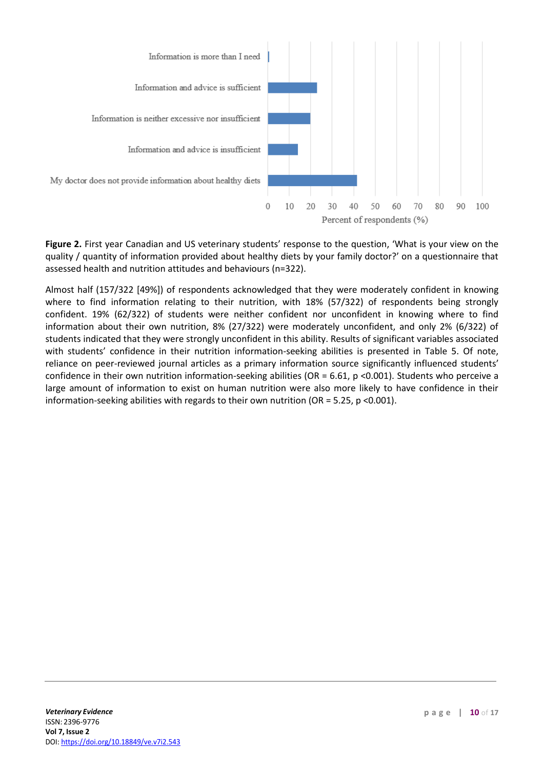

**Figure 2.** First year Canadian and US veterinary students' response to the question, 'What is your view on the quality / quantity of information provided about healthy diets by your family doctor?' on a questionnaire that assessed health and nutrition attitudes and behaviours (n=322).

Almost half (157/322 [49%]) of respondents acknowledged that they were moderately confident in knowing where to find information relating to their nutrition, with 18% (57/322) of respondents being strongly confident. 19% (62/322) of students were neither confident nor unconfident in knowing where to find information about their own nutrition, 8% (27/322) were moderately unconfident, and only 2% (6/322) of students indicated that they were strongly unconfident in this ability. Results of significant variables associated with students' confidence in their nutrition information-seeking abilities is presented in Table 5. Of note, reliance on peer-reviewed journal articles as a primary information source significantly influenced students' confidence in their own nutrition information-seeking abilities (OR = 6.61, p <0.001). Students who perceive a large amount of information to exist on human nutrition were also more likely to have confidence in their information-seeking abilities with regards to their own nutrition (OR = 5.25,  $p$  <0.001).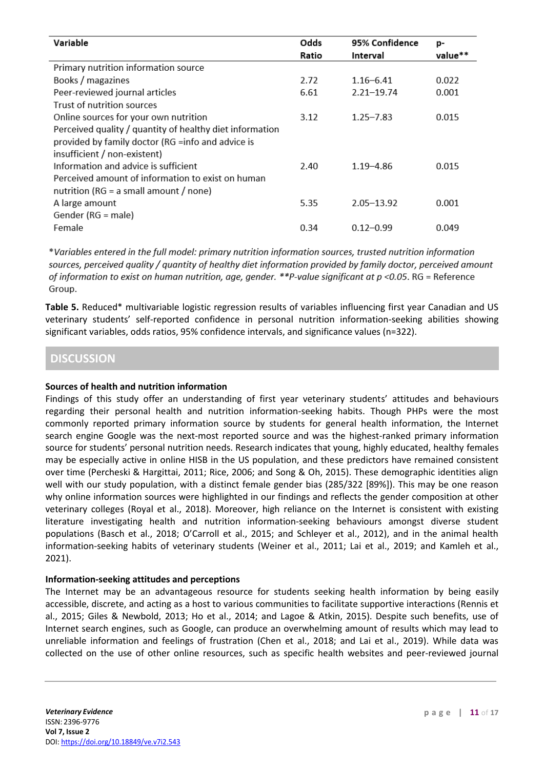| Variable                                                 | Odds  | 95% Confidence | p-      |
|----------------------------------------------------------|-------|----------------|---------|
|                                                          | Ratio | Interval       | value** |
| Primary nutrition information source                     |       |                |         |
| Books / magazines                                        | 2.72  | $1.16 - 6.41$  | 0.022   |
| Peer-reviewed journal articles                           | 6.61  | $2.21 - 19.74$ | 0.001   |
| Trust of nutrition sources                               |       |                |         |
| Online sources for your own nutrition                    | 3.12  | $1.25 - 7.83$  | 0.015   |
| Perceived quality / quantity of healthy diet information |       |                |         |
| provided by family doctor (RG = info and advice is       |       |                |         |
| insufficient / non-existent)                             |       |                |         |
| Information and advice is sufficient                     | 2.40  | $1.19 - 4.86$  | 0.015   |
| Perceived amount of information to exist on human        |       |                |         |
| nutrition ( $RG = a$ small amount / none)                |       |                |         |
| A large amount                                           | 5.35  | $2.05 - 13.92$ | 0.001   |
| Gender (RG = male)                                       |       |                |         |
| Female                                                   | 0.34  | $0.12 - 0.99$  | 0.049   |

\*Variables entered in the full model: primary nutrition information sources, trusted nutrition information sources, perceived quality / quantity of healthy diet information provided by family doctor, perceived amount of information to exist on human nutrition, age, gender. \*\*P-value significant at  $p < 0.05$ . RG = Reference Group.

**Table 5.** Reduced\* multivariable logistic regression results of variables influencing first year Canadian and US veterinary students' self-reported confidence in personal nutrition information-seeking abilities showing significant variables, odds ratios, 95% confidence intervals, and significance values (n=322).

## **DISCUSSION**

#### **Sources of health and nutrition information**

Findings of this study offer an understanding of first year veterinary students' attitudes and behaviours regarding their personal health and nutrition information-seeking habits. Though PHPs were the most commonly reported primary information source by students for general health information, the Internet search engine Google was the next-most reported source and was the highest-ranked primary information source for students' personal nutrition needs. Research indicates that young, highly educated, healthy females may be especially active in online HISB in the US population, and these predictors have remained consistent over time (Percheski & Hargittai, 2011; Rice, 2006; and Song & Oh, 2015). These demographic identities align well with our study population, with a distinct female gender bias (285/322 [89%]). This may be one reason why online information sources were highlighted in our findings and reflects the gender composition at other veterinary colleges (Royal et al., 2018). Moreover, high reliance on the Internet is consistent with existing literature investigating health and nutrition information-seeking behaviours amongst diverse student populations (Basch et al., 2018; O'Carroll et al., 2015; and Schleyer et al., 2012), and in the animal health information-seeking habits of veterinary students (Weiner et al., 2011; Lai et al., 2019; and Kamleh et al., 2021).

#### **Information-seeking attitudes and perceptions**

The Internet may be an advantageous resource for students seeking health information by being easily accessible, discrete, and acting as a host to various communities to facilitate supportive interactions (Rennis et al., 2015; Giles & Newbold, 2013; Ho et al., 2014; and Lagoe & Atkin, 2015). Despite such benefits, use of Internet search engines, such as Google, can produce an overwhelming amount of results which may lead to unreliable information and feelings of frustration (Chen et al., 2018; and Lai et al., 2019). While data was collected on the use of other online resources, such as specific health websites and peer-reviewed journal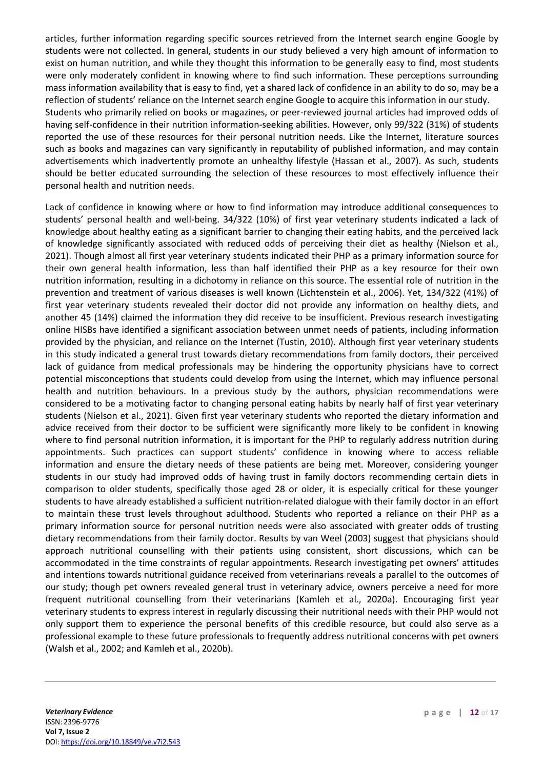articles, further information regarding specific sources retrieved from the Internet search engine Google by students were not collected. In general, students in our study believed a very high amount of information to exist on human nutrition, and while they thought this information to be generally easy to find, most students were only moderately confident in knowing where to find such information. These perceptions surrounding mass information availability that is easy to find, yet a shared lack of confidence in an ability to do so, may be a reflection of students' reliance on the Internet search engine Google to acquire this information in our study. Students who primarily relied on books or magazines, or peer-reviewed journal articles had improved odds of having self-confidence in their nutrition information-seeking abilities. However, only 99/322 (31%) of students reported the use of these resources for their personal nutrition needs. Like the Internet, literature sources such as books and magazines can vary significantly in reputability of published information, and may contain advertisements which inadvertently promote an unhealthy lifestyle (Hassan et al., 2007). As such, students should be better educated surrounding the selection of these resources to most effectively influence their personal health and nutrition needs.

Lack of confidence in knowing where or how to find information may introduce additional consequences to students' personal health and well-being. 34/322 (10%) of first year veterinary students indicated a lack of knowledge about healthy eating as a significant barrier to changing their eating habits, and the perceived lack of knowledge significantly associated with reduced odds of perceiving their diet as healthy (Nielson et al., 2021). Though almost all first year veterinary students indicated their PHP as a primary information source for their own general health information, less than half identified their PHP as a key resource for their own nutrition information, resulting in a dichotomy in reliance on this source. The essential role of nutrition in the prevention and treatment of various diseases is well known (Lichtenstein et al., 2006). Yet, 134/322 (41%) of first year veterinary students revealed their doctor did not provide any information on healthy diets, and another 45 (14%) claimed the information they did receive to be insufficient. Previous research investigating online HISBs have identified a significant association between unmet needs of patients, including information provided by the physician, and reliance on the Internet (Tustin, 2010). Although first year veterinary students in this study indicated a general trust towards dietary recommendations from family doctors, their perceived lack of guidance from medical professionals may be hindering the opportunity physicians have to correct potential misconceptions that students could develop from using the Internet, which may influence personal health and nutrition behaviours. In a previous study by the authors, physician recommendations were considered to be a motivating factor to changing personal eating habits by nearly half of first year veterinary students (Nielson et al., 2021). Given first year veterinary students who reported the dietary information and advice received from their doctor to be sufficient were significantly more likely to be confident in knowing where to find personal nutrition information, it is important for the PHP to regularly address nutrition during appointments. Such practices can support students' confidence in knowing where to access reliable information and ensure the dietary needs of these patients are being met. Moreover, considering younger students in our study had improved odds of having trust in family doctors recommending certain diets in comparison to older students, specifically those aged 28 or older, it is especially critical for these younger students to have already established a sufficient nutrition-related dialogue with their family doctor in an effort to maintain these trust levels throughout adulthood. Students who reported a reliance on their PHP as a primary information source for personal nutrition needs were also associated with greater odds of trusting dietary recommendations from their family doctor. Results by van Weel (2003) suggest that physicians should approach nutritional counselling with their patients using consistent, short discussions, which can be accommodated in the time constraints of regular appointments. Research investigating pet owners' attitudes and intentions towards nutritional guidance received from veterinarians reveals a parallel to the outcomes of our study; though pet owners revealed general trust in veterinary advice, owners perceive a need for more frequent nutritional counselling from their veterinarians (Kamleh et al., 2020a). Encouraging first year veterinary students to express interest in regularly discussing their nutritional needs with their PHP would not only support them to experience the personal benefits of this credible resource, but could also serve as a professional example to these future professionals to frequently address nutritional concerns with pet owners (Walsh et al., 2002; and Kamleh et al., 2020b).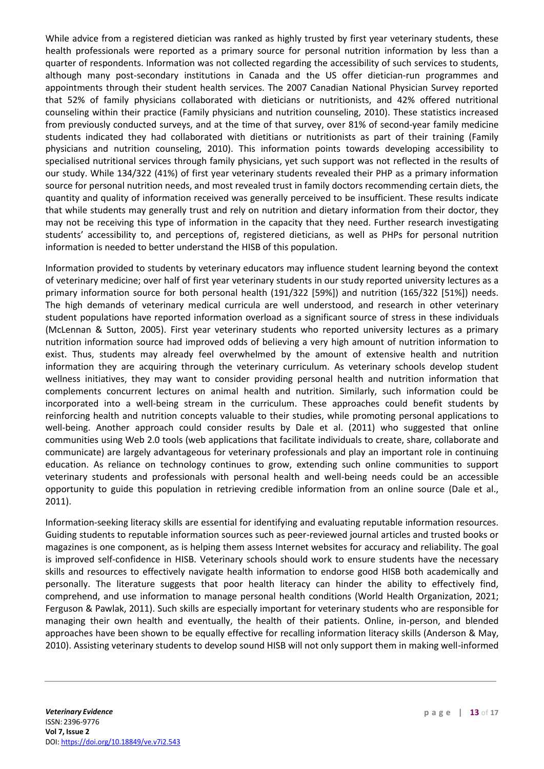While advice from a registered dietician was ranked as highly trusted by first year veterinary students, these health professionals were reported as a primary source for personal nutrition information by less than a quarter of respondents. Information was not collected regarding the accessibility of such services to students, although many post-secondary institutions in Canada and the US offer dietician-run programmes and appointments through their student health services. The 2007 Canadian National Physician Survey reported that 52% of family physicians collaborated with dieticians or nutritionists, and 42% offered nutritional counseling within their practice (Family physicians and nutrition counseling, 2010). These statistics increased from previously conducted surveys, and at the time of that survey, over 81% of second-year family medicine students indicated they had collaborated with dietitians or nutritionists as part of their training (Family physicians and nutrition counseling, 2010). This information points towards developing accessibility to specialised nutritional services through family physicians, yet such support was not reflected in the results of our study. While 134/322 (41%) of first year veterinary students revealed their PHP as a primary information source for personal nutrition needs, and most revealed trust in family doctors recommending certain diets, the quantity and quality of information received was generally perceived to be insufficient. These results indicate that while students may generally trust and rely on nutrition and dietary information from their doctor, they may not be receiving this type of information in the capacity that they need. Further research investigating students' accessibility to, and perceptions of, registered dieticians, as well as PHPs for personal nutrition information is needed to better understand the HISB of this population.

Information provided to students by veterinary educators may influence student learning beyond the context of veterinary medicine; over half of first year veterinary students in our study reported university lectures as a primary information source for both personal health (191/322 [59%]) and nutrition (165/322 [51%]) needs. The high demands of veterinary medical curricula are well understood, and research in other veterinary student populations have reported information overload as a significant source of stress in these individuals (McLennan & Sutton, 2005). First year veterinary students who reported university lectures as a primary nutrition information source had improved odds of believing a very high amount of nutrition information to exist. Thus, students may already feel overwhelmed by the amount of extensive health and nutrition information they are acquiring through the veterinary curriculum. As veterinary schools develop student wellness initiatives, they may want to consider providing personal health and nutrition information that complements concurrent lectures on animal health and nutrition. Similarly, such information could be incorporated into a well-being stream in the curriculum. These approaches could benefit students by reinforcing health and nutrition concepts valuable to their studies, while promoting personal applications to well-being. Another approach could consider results by Dale et al. (2011) who suggested that online communities using Web 2.0 tools (web applications that facilitate individuals to create, share, collaborate and communicate) are largely advantageous for veterinary professionals and play an important role in continuing education. As reliance on technology continues to grow, extending such online communities to support veterinary students and professionals with personal health and well-being needs could be an accessible opportunity to guide this population in retrieving credible information from an online source (Dale et al., 2011).

Information-seeking literacy skills are essential for identifying and evaluating reputable information resources. Guiding students to reputable information sources such as peer-reviewed journal articles and trusted books or magazines is one component, as is helping them assess Internet websites for accuracy and reliability. The goal is improved self-confidence in HISB. Veterinary schools should work to ensure students have the necessary skills and resources to effectively navigate health information to endorse good HISB both academically and personally. The literature suggests that poor health literacy can hinder the ability to effectively find, comprehend, and use information to manage personal health conditions (World Health Organization, 2021; Ferguson & Pawlak, 2011). Such skills are especially important for veterinary students who are responsible for managing their own health and eventually, the health of their patients. Online, in-person, and blended approaches have been shown to be equally effective for recalling information literacy skills (Anderson & May, 2010). Assisting veterinary students to develop sound HISB will not only support them in making well-informed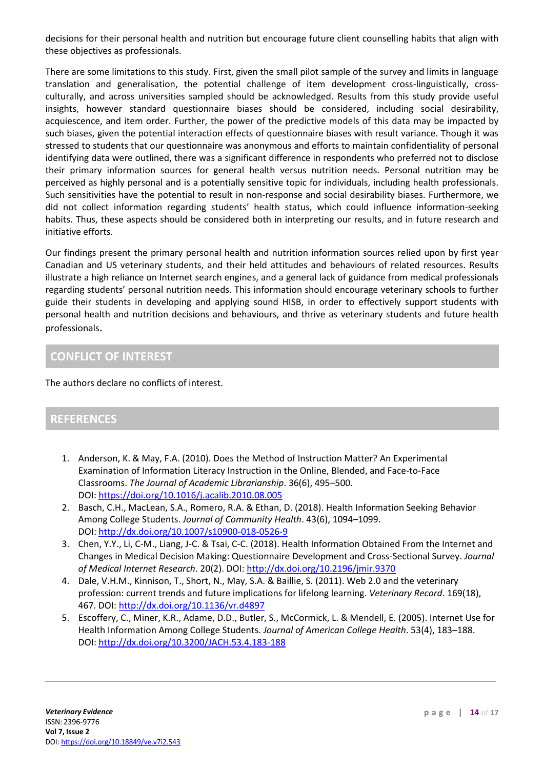decisions for their personal health and nutrition but encourage future client counselling habits that align with these objectives as professionals.

There are some limitations to this study. First, given the small pilot sample of the survey and limits in language translation and generalisation, the potential challenge of item development cross-linguistically, crossculturally, and across universities sampled should be acknowledged. Results from this study provide useful insights, however standard questionnaire biases should be considered, including social desirability, acquiescence, and item order. Further, the power of the predictive models of this data may be impacted by such biases, given the potential interaction effects of questionnaire biases with result variance. Though it was stressed to students that our questionnaire was anonymous and efforts to maintain confidentiality of personal identifying data were outlined, there was a significant difference in respondents who preferred not to disclose their primary information sources for general health versus nutrition needs. Personal nutrition may be perceived as highly personal and is a potentially sensitive topic for individuals, including health professionals. Such sensitivities have the potential to result in non-response and social desirability biases. Furthermore, we did not collect information regarding students' health status, which could influence information-seeking habits. Thus, these aspects should be considered both in interpreting our results, and in future research and initiative efforts.

Our findings present the primary personal health and nutrition information sources relied upon by first year Canadian and US veterinary students, and their held attitudes and behaviours of related resources. Results illustrate a high reliance on Internet search engines, and a general lack of guidance from medical professionals regarding students' personal nutrition needs. This information should encourage veterinary schools to further guide their students in developing and applying sound HISB, in order to effectively support students with personal health and nutrition decisions and behaviours, and thrive as veterinary students and future health professionals.

## **CONFLICT OF INTEREST**

The authors declare no conflicts of interest.

## **REFERENCES**

- 1. Anderson, K. & May, F.A. (2010). Does the Method of Instruction Matter? An Experimental Examination of Information Literacy Instruction in the Online, Blended, and Face-to-Face Classrooms. *The Journal of Academic Librarianship*. 36(6), 495–500. DOI: <https://doi.org/10.1016/j.acalib.2010.08.005>
- 2. Basch, C.H., MacLean, S.A., Romero, R.A. & Ethan, D. (2018). Health Information Seeking Behavior Among College Students. *Journal of Community Health*. 43(6), 1094–1099. DOI: <http://dx.doi.org/10.1007/s10900-018-0526-9>
- 3. Chen, Y.Y., Li, C-M., Liang, J-C. & Tsai, C-C. (2018). Health Information Obtained From the Internet and Changes in Medical Decision Making: Questionnaire Development and Cross-Sectional Survey. *Journal of Medical Internet Research*. 20(2). DOI: <http://dx.doi.org/10.2196/jmir.9370>
- 4. Dale, V.H.M., Kinnison, T., Short, N., May, S.A. & Baillie, S. (2011). Web 2.0 and the veterinary profession: current trends and future implications for lifelong learning. *Veterinary Record*. 169(18), 467. DOI: <http://dx.doi.org/10.1136/vr.d4897>
- 5. Escoffery, C., Miner, K.R., Adame, D.D., Butler, S., McCormick, L. & Mendell, E. (2005). Internet Use for Health Information Among College Students. *Journal of American College Health*. 53(4), 183–188. DOI: <http://dx.doi.org/10.3200/JACH.53.4.183-188>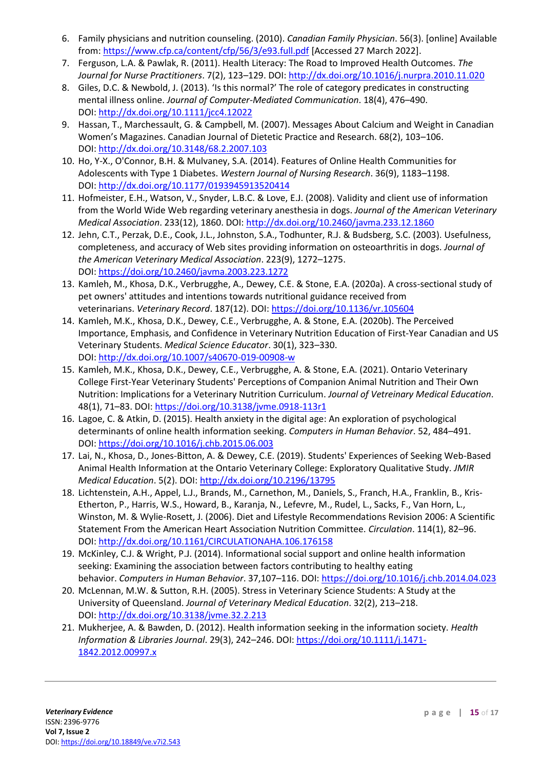- 6. Family physicians and nutrition counseling. (2010). *Canadian Family Physician*. 56(3). [online] Available from: <https://www.cfp.ca/content/cfp/56/3/e93.full.pdf> [Accessed 27 March 2022].
- 7. Ferguson, L.A. & Pawlak, R. (2011). Health Literacy: The Road to Improved Health Outcomes. *The Journal for Nurse Practitioners*. 7(2), 123–129. DOI: <http://dx.doi.org/10.1016/j.nurpra.2010.11.020>
- 8. Giles, D.C. & Newbold, J. (2013). 'Is this normal?' The role of category predicates in constructing mental illness online. *Journal of Computer-Mediated Communication*. 18(4), 476–490. DOI: <http://dx.doi.org/10.1111/jcc4.12022>
- 9. Hassan, T., Marchessault, G. & Campbell, M. (2007). Messages About Calcium and Weight in Canadian Women's Magazines. Canadian Journal of Dietetic Practice and Research. 68(2), 103–106. DOI: <http://dx.doi.org/10.3148/68.2.2007.103>
- 10. Ho, Y-X., O'Connor, B.H. & Mulvaney, S.A. (2014). Features of Online Health Communities for Adolescents with Type 1 Diabetes. *Western Journal of Nursing Research*. 36(9), 1183–1198. DOI: <http://dx.doi.org/10.1177/0193945913520414>
- 11. Hofmeister, E.H., Watson, V., Snyder, L.B.C. & Love, E.J. (2008). Validity and client use of information from the World Wide Web regarding veterinary anesthesia in dogs. *Journal of the American Veterinary Medical Association*. 233(12), 1860. DOI: <http://dx.doi.org/10.2460/javma.233.12.1860>
- 12. Jehn, C.T., Perzak, D.E., Cook, J.L., Johnston, S.A., Todhunter, R.J. & Budsberg, S.C. (2003). Usefulness, completeness, and accuracy of Web sites providing information on osteoarthritis in dogs. *Journal of the American Veterinary Medical Association*. 223(9), 1272–1275. DOI: <https://doi.org/10.2460/javma.2003.223.1272>
- 13. Kamleh, M., Khosa, D.K., Verbrugghe, A., Dewey, C.E. & Stone, E.A. (2020a). A cross-sectional study of pet owners' attitudes and intentions towards nutritional guidance received from veterinarians. *Veterinary Record*. 187(12). DOI: <https://doi.org/10.1136/vr.105604>
- 14. Kamleh, M.K., Khosa, D.K., Dewey, C.E., Verbrugghe, A. & Stone, E.A. (2020b). The Perceived Importance, Emphasis, and Confidence in Veterinary Nutrition Education of First-Year Canadian and US Veterinary Students. *Medical Science Educator*. 30(1), 323–330. DOI: <http://dx.doi.org/10.1007/s40670-019-00908-w>
- 15. Kamleh, M.K., Khosa, D.K., Dewey, C.E., Verbrugghe, A. & Stone, E.A. (2021). Ontario Veterinary College First-Year Veterinary Students' Perceptions of Companion Animal Nutrition and Their Own Nutrition: Implications for a Veterinary Nutrition Curriculum. *Journal of Vetreinary Medical Education*. 48(1), 71–83. DOI: <https://doi.org/10.3138/jvme.0918-113r1>
- 16. Lagoe, C. & Atkin, D. (2015). Health anxiety in the digital age: An exploration of psychological determinants of online health information seeking. *Computers in Human Behavior*. 52, 484–491. DOI: <https://doi.org/10.1016/j.chb.2015.06.003>
- 17. Lai, N., Khosa, D., Jones-Bitton, A. & Dewey, C.E. (2019). Students' Experiences of Seeking Web-Based Animal Health Information at the Ontario Veterinary College: Exploratory Qualitative Study. *JMIR Medical Education*. 5(2). DOI: <http://dx.doi.org/10.2196/13795>
- 18. Lichtenstein, A.H., Appel, L.J., Brands, M., Carnethon, M., Daniels, S., Franch, H.A., Franklin, B., Kris-Etherton, P., Harris, W.S., Howard, B., Karanja, N., Lefevre, M., Rudel, L., Sacks, F., Van Horn, L., Winston, M. & Wylie-Rosett, J. (2006). Diet and Lifestyle Recommendations Revision 2006: A Scientific Statement From the American Heart Association Nutrition Committee. *Circulation*. 114(1), 82–96. DOI: <http://dx.doi.org/10.1161/CIRCULATIONAHA.106.176158>
- 19. McKinley, C.J. & Wright, P.J. (2014). Informational social support and online health information seeking: Examining the association between factors contributing to healthy eating behavior. *Computers in Human Behavior*. 37,107–116. DOI: <https://doi.org/10.1016/j.chb.2014.04.023>
- 20. McLennan, M.W. & Sutton, R.H. (2005). Stress in Veterinary Science Students: A Study at the University of Queensland. *Journal of Veterinary Medical Education*. 32(2), 213–218. DOI: <http://dx.doi.org/10.3138/jvme.32.2.213>
- 21. Mukherjee, A. & Bawden, D. (2012). Health information seeking in the information society. *Health Information & Libraries Journal*. 29(3), 242–246. DOI: [https://doi.org/10.1111/j.1471-](https://doi.org/10.1111/j.1471-1842.2012.00997.x) [1842.2012.00997.x](https://doi.org/10.1111/j.1471-1842.2012.00997.x)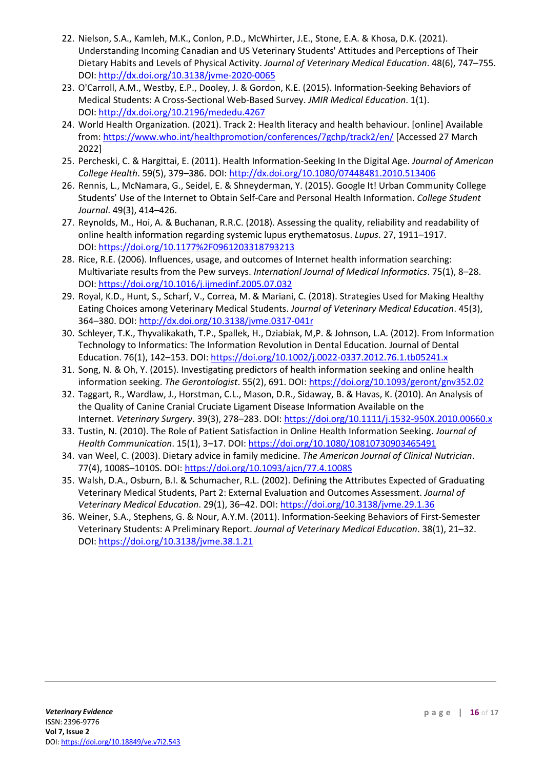- 22. Nielson, S.A., Kamleh, M.K., Conlon, P.D., McWhirter, J.E., Stone, E.A. & Khosa, D.K. (2021). Understanding Incoming Canadian and US Veterinary Students' Attitudes and Perceptions of Their Dietary Habits and Levels of Physical Activity. *Journal of Veterinary Medical Education*. 48(6), 747–755. DOI: <http://dx.doi.org/10.3138/jvme-2020-0065>
- 23. O'Carroll, A.M., Westby, E.P., Dooley, J. & Gordon, K.E. (2015). Information-Seeking Behaviors of Medical Students: A Cross-Sectional Web-Based Survey. *JMIR Medical Education*. 1(1). DOI: <http://dx.doi.org/10.2196/mededu.4267>
- 24. World Health Organization. (2021). Track 2: Health literacy and health behaviour. [online] Available from: <https://www.who.int/healthpromotion/conferences/7gchp/track2/en/> [Accessed 27 March 2022]
- 25. Percheski, C. & Hargittai, E. (2011). Health Information-Seeking In the Digital Age. *Journal of American College Health*. 59(5), 379–386. DOI: <http://dx.doi.org/10.1080/07448481.2010.513406>
- 26. Rennis, L., McNamara, G., Seidel, E. & Shneyderman, Y. (2015). Google It! Urban Community College Students' Use of the Internet to Obtain Self-Care and Personal Health Information. *College Student Journal*. 49(3), 414–426.
- 27. Reynolds, M., Hoi, A. & Buchanan, R.R.C. (2018). Assessing the quality, reliability and readability of online health information regarding systemic lupus erythematosus. *Lupus*. 27, 1911–1917. DOI: <https://doi.org/10.1177%2F0961203318793213>
- 28. Rice, R.E. (2006). Influences, usage, and outcomes of Internet health information searching: Multivariate results from the Pew surveys. *Internationl Journal of Medical Informatics*. 75(1), 8–28. DOI: <https://doi.org/10.1016/j.ijmedinf.2005.07.032>
- 29. Royal, K.D., Hunt, S., Scharf, V., Correa, M. & Mariani, C. (2018). Strategies Used for Making Healthy Eating Choices among Veterinary Medical Students. *Journal of Veterinary Medical Education*. 45(3), 364–380. DOI: <http://dx.doi.org/10.3138/jvme.0317-041r>
- 30. Schleyer, T.K., Thyvalikakath, T.P., Spallek, H., Dziabiak, M,P. & Johnson, L.A. (2012). From Information Technology to Informatics: The Information Revolution in Dental Education. Journal of Dental Education. 76(1), 142–153. DOI: <https://doi.org/10.1002/j.0022-0337.2012.76.1.tb05241.x>
- 31. Song, N. & Oh, Y. (2015). Investigating predictors of health information seeking and online health information seeking. *The Gerontologist*. 55(2), 691. DOI: <https://doi.org/10.1093/geront/gnv352.02>
- 32. Taggart, R., Wardlaw, J., Horstman, C.L., Mason, D.R., Sidaway, B. & Havas, K. (2010). An Analysis of the Quality of Canine Cranial Cruciate Ligament Disease Information Available on the Internet. *Veterinary Surgery*. 39(3), 278–283. DOI: <https://doi.org/10.1111/j.1532-950X.2010.00660.x>
- 33. Tustin, N. (2010). The Role of Patient Satisfaction in Online Health Information Seeking. *Journal of Health Communication*. 15(1), 3–17. DOI: <https://doi.org/10.1080/10810730903465491>
- 34. van Weel, C. (2003). Dietary advice in family medicine. *The American Journal of Clinical Nutrician*. 77(4), 1008S–1010S. DOI: <https://doi.org/10.1093/ajcn/77.4.1008S>
- 35. Walsh, D.A., Osburn, B.I. & Schumacher, R.L. (2002). Defining the Attributes Expected of Graduating Veterinary Medical Students, Part 2: External Evaluation and Outcomes Assessment. *Journal of Veterinary Medical Education*. 29(1), 36–42. DOI: <https://doi.org/10.3138/jvme.29.1.36>
- 36. Weiner, S.A., Stephens, G. & Nour, A.Y.M. (2011). Information-Seeking Behaviors of First-Semester Veterinary Students: A Preliminary Report. *Journal of Veterinary Medical Education*. 38(1), 21–32. DOI: <https://doi.org/10.3138/jvme.38.1.21>